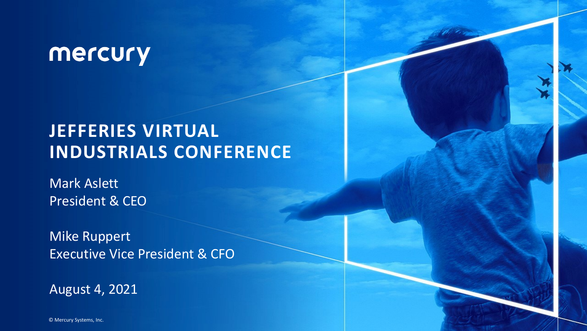### mercury

### **JEFFERIES VIRTUAL INDUSTRIALS CONFERENCE**

Mark Aslett President & CEO

Mike Ruppert Executive Vice President & CFO

August 4, 2021

© Mercury Systems, Inc.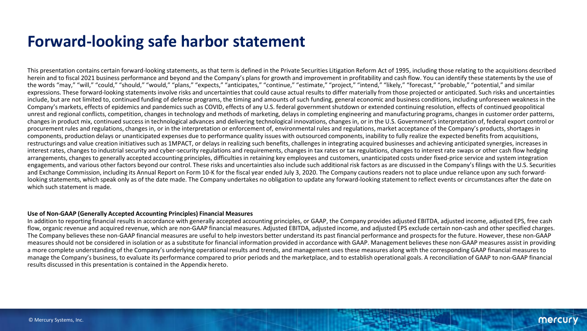#### **Forward-looking safe harbor statement**

This presentation contains certain forward-looking statements, as that term is defined in the Private Securities Litigation Reform Act of 1995, including those relating to the acquisitions described herein and to fiscal 2021 business performance and beyond and the Company's plans for growth and improvement in profitability and cash flow. You can identify these statements by the use of the words "may," "will," "could," "should," "would," "plans," "expects," "anticipates," "continue," "estimate," "project," "intend," "likely," "forecast," "probable," "potential," and similar expressions. These forward-looking statements involve risks and uncertainties that could cause actual results to differ materially from those projected or anticipated. Such risks and uncertainties include, but are not limited to, continued funding of defense programs, the timing and amounts of such funding, general economic and business conditions, including unforeseen weakness in the Company's markets, effects of epidemics and pandemics such as COVID, effects of any U.S. federal government shutdown or extended continuing resolution, effects of continued geopolitical unrest and regional conflicts, competition, changes in technology and methods of marketing, delays in completing engineering and manufacturing programs, changes in customer order patterns, changes in product mix, continued success in technological advances and delivering technological innovations, changes in, or in the U.S. Government's interpretation of, federal export control or procurement rules and regulations, changes in, or in the interpretation or enforcement of, environmental rules and regulations, market acceptance of the Company's products, shortages in components, production delays or unanticipated expenses due to performance quality issues with outsourced components, inability to fully realize the expected benefits from acquisitions, restructurings and value creation initiatives such as 1MPACT, or delays in realizing such benefits, challenges in integrating acquired businesses and achieving anticipated synergies, increases in interest rates, changes to industrial security and cyber-security regulations and requirements, changes in tax rates or tax regulations, changes to interest rate swaps or other cash flow hedging arrangements, changes to generally accepted accounting principles, difficulties in retaining key employees and customers, unanticipated costs under fixed-price service and system integration engagements, and various other factors beyond our control. These risks and uncertainties also include such additional risk factors as are discussed in the Company's filings with the U.S. Securities and Exchange Commission, including its Annual Report on Form 10-K for the fiscal year ended July 3, 2020. The Company cautions readers not to place undue reliance upon any such forwardlooking statements, which speak only as of the date made. The Company undertakes no obligation to update any forward-looking statement to reflect events or circumstances after the date on which such statement is made.

#### **Use of Non-GAAP (Generally Accepted Accounting Principles) Financial Measures**

In addition to reporting financial results in accordance with generally accepted accounting principles, or GAAP, the Company provides adjusted EBITDA, adjusted income, adjusted EPS, free cash flow, organic revenue and acquired revenue, which are non-GAAP financial measures. Adjusted EBITDA, adjusted income, and adjusted EPS exclude certain non-cash and other specified charges. The Company believes these non-GAAP financial measures are useful to help investors better understand its past financial performance and prospects for the future. However, these non-GAAP measures should not be considered in isolation or as a substitute for financial information provided in accordance with GAAP. Management believes these non-GAAP measures assist in providing a more complete understanding of the Company's underlying operational results and trends, and management uses these measures along with the corresponding GAAP financial measures to manage the Company's business, to evaluate its performance compared to prior periods and the marketplace, and to establish operational goals. A reconciliation of GAAP to non-GAAP financial results discussed in this presentation is contained in the Appendix hereto.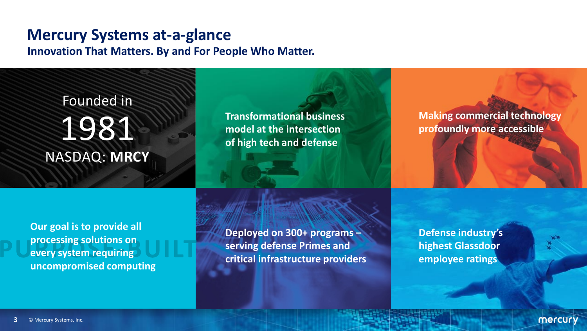### **Mercury Systems at-a-glance**

**Innovation That Matters. By and For People Who Matter.**

Founded in 1981 NASDAQ: **MRCY**

**Transformational business model at the intersection of high tech and defense**

**Making commercial technology profoundly more accessible**

**Our goal is to provide all processing solutions on every system requiring uncompromised computing**

**Deployed on 300+ programs – serving defense Primes and critical infrastructure providers** **Defense industry's highest Glassdoor employee ratings**

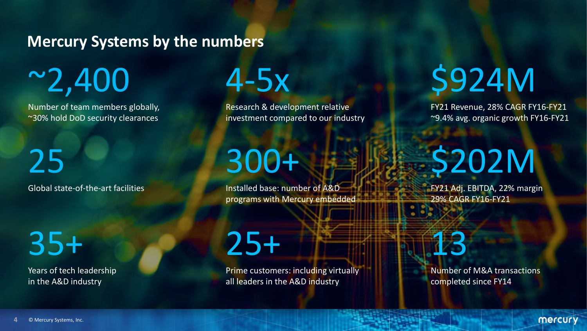### **Mercury Systems by the numbers**

 $~2,400$ 

Number of team members globally, ~30% hold DoD security clearances

25 Global state-of-the-art facilities

35+

Years of tech leadership in the A&D industry

4-5x

Research & development relative investment compared to our industry

## 300+

25+

Installed base: number of A&D programs with Mercury embedded

Prime customers: including virtually all leaders in the A&D industry

# \$924M

FY21 Revenue, 28% CAGR FY16-FY21 ~9.4% avg. organic growth FY16-FY21

# \$202M

FY21 Adj. EBITDA, 22% margin 29% CAGR FY16-FY21



Number of M&A transactions completed since FY14

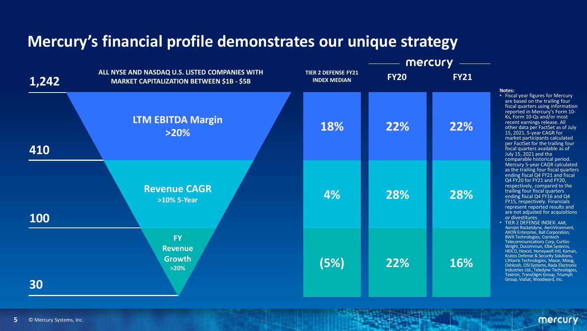### **Mercury's financial profile demonstrates our unique strategy**



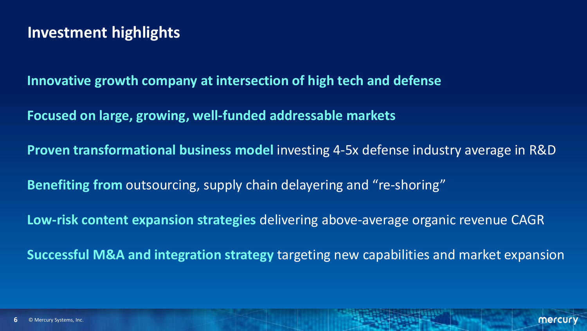### **Investment highlights**

**Innovative growth company at intersection of high tech and defense**

**Focused on large, growing, well-funded addressable markets**

**Proven transformational business model** investing 4-5x defense industry average in R&D

**Benefiting from** outsourcing, supply chain delayering and "re-shoring"

**Low-risk content expansion strategies** delivering above-average organic revenue CAGR

**Successful M&A and integration strategy** targeting new capabilities and market expansion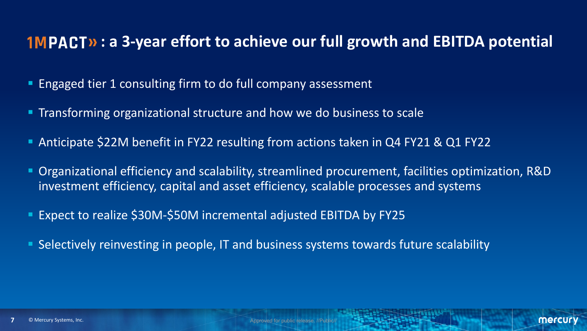#### **1MPACT»: a 3-year effort to achieve our full growth and EBITDA potential**

- Engaged tier 1 consulting firm to do full company assessment
- **Transforming organizational structure and how we do business to scale**
- Anticipate \$22M benefit in FY22 resulting from actions taken in Q4 FY21 & Q1 FY22
- Organizational efficiency and scalability, streamlined procurement, facilities optimization, R&D investment efficiency, capital and asset efficiency, scalable processes and systems
- Expect to realize \$30M-\$50M incremental adjusted EBITDA by FY25
- Selectively reinvesting in people, IT and business systems towards future scalability